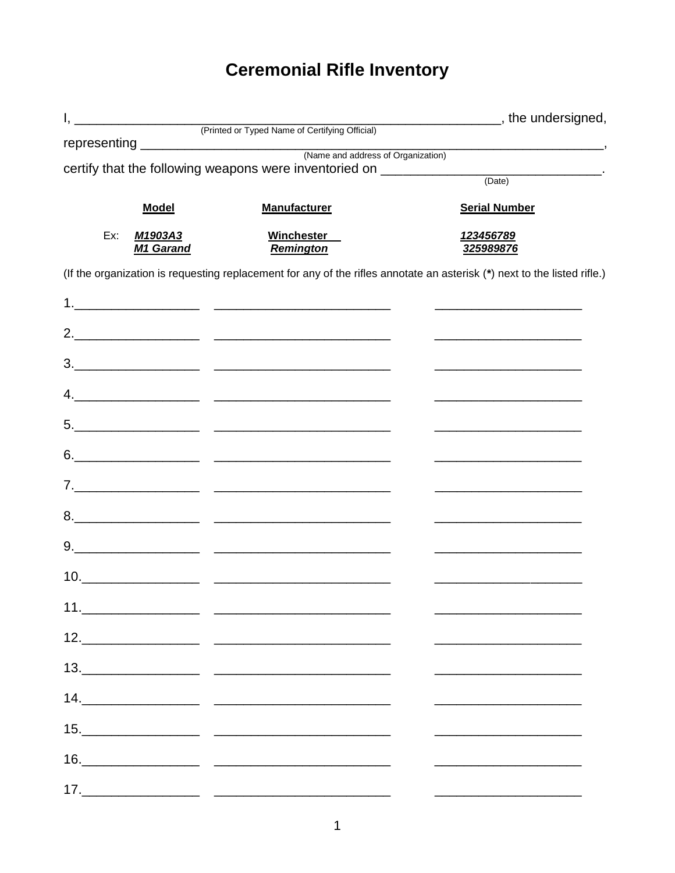## **Ceremonial Rifle Inventory**

|     |                             |                                                                                                                                                                                                                                                                                                                                                                                   | <u>_________________</u> , the undersigned,                                                                           |  |
|-----|-----------------------------|-----------------------------------------------------------------------------------------------------------------------------------------------------------------------------------------------------------------------------------------------------------------------------------------------------------------------------------------------------------------------------------|-----------------------------------------------------------------------------------------------------------------------|--|
|     |                             | (Printed or Typed Name of Certifying Official)                                                                                                                                                                                                                                                                                                                                    |                                                                                                                       |  |
|     |                             |                                                                                                                                                                                                                                                                                                                                                                                   |                                                                                                                       |  |
|     |                             | certify that the following weapons were inventoried on _______________                                                                                                                                                                                                                                                                                                            | (Date)                                                                                                                |  |
|     | <b>Model</b>                | <b>Manufacturer</b>                                                                                                                                                                                                                                                                                                                                                               | <b>Serial Number</b>                                                                                                  |  |
| Ex: | M1903A3<br><b>M1 Garand</b> | <b>Winchester</b><br>Remington                                                                                                                                                                                                                                                                                                                                                    | 123456789<br>325989876                                                                                                |  |
|     |                             | (If the organization is requesting replacement for any of the rifles annotate an asterisk (*) next to the listed rifle.)                                                                                                                                                                                                                                                          |                                                                                                                       |  |
|     |                             |                                                                                                                                                                                                                                                                                                                                                                                   |                                                                                                                       |  |
|     |                             |                                                                                                                                                                                                                                                                                                                                                                                   | the control of the control of the control of the control of the control of                                            |  |
|     |                             |                                                                                                                                                                                                                                                                                                                                                                                   |                                                                                                                       |  |
|     |                             |                                                                                                                                                                                                                                                                                                                                                                                   | <u> 1989 - Johann John Stone, markin fan it ferskearre fan it ferskearre fan it ferskearre fan it ferskearre fan </u> |  |
|     |                             |                                                                                                                                                                                                                                                                                                                                                                                   | <u> 1980 - Johann John Stone, mars et al. (</u>                                                                       |  |
|     |                             |                                                                                                                                                                                                                                                                                                                                                                                   |                                                                                                                       |  |
|     |                             |                                                                                                                                                                                                                                                                                                                                                                                   | the control of the control of the control of the control of the control of the control of                             |  |
|     |                             |                                                                                                                                                                                                                                                                                                                                                                                   |                                                                                                                       |  |
|     |                             |                                                                                                                                                                                                                                                                                                                                                                                   |                                                                                                                       |  |
|     |                             |                                                                                                                                                                                                                                                                                                                                                                                   |                                                                                                                       |  |
|     | 11.                         | <u> 1999 - Jan Barnett, fransk politiker</u>                                                                                                                                                                                                                                                                                                                                      |                                                                                                                       |  |
|     |                             |                                                                                                                                                                                                                                                                                                                                                                                   |                                                                                                                       |  |
|     |                             | $\begin{array}{c c c c c} \hline \textbf{13.} & \textbf{14.} & \textbf{15.} & \textbf{16.} & \textbf{17.} & \textbf{18.} \\ \hline \textbf{17.} & \textbf{18.} & \textbf{19.} & \textbf{19.} & \textbf{19.} & \textbf{19.} & \textbf{19.} \\ \hline \textbf{18.} & \textbf{19.} & \textbf{19.} & \textbf{19.} & \textbf{19.} & \textbf{19.} & \textbf{19.} \\ \hline \end{array}$ |                                                                                                                       |  |
|     |                             |                                                                                                                                                                                                                                                                                                                                                                                   |                                                                                                                       |  |
|     |                             |                                                                                                                                                                                                                                                                                                                                                                                   |                                                                                                                       |  |
|     |                             | $\begin{array}{c c c c c} \hline \multicolumn{3}{c }{\textbf{16.}} & \multicolumn{3}{c }{\textbf{16.}} \\ \hline \end{array}$                                                                                                                                                                                                                                                     |                                                                                                                       |  |
|     |                             |                                                                                                                                                                                                                                                                                                                                                                                   |                                                                                                                       |  |